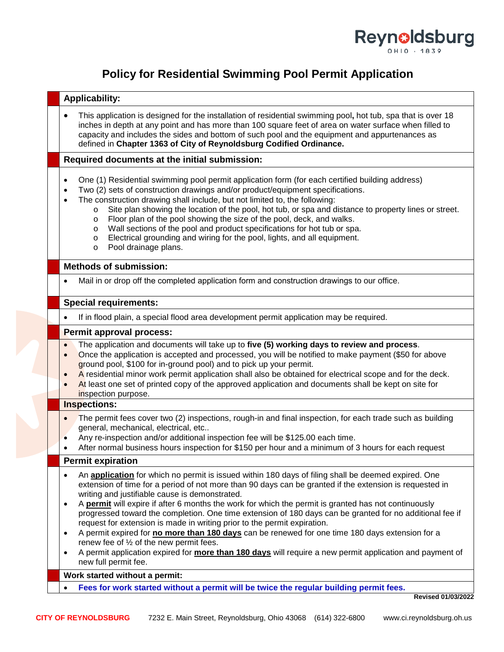

## **Policy for Residential Swimming Pool Permit Application**

| <b>Applicability:</b>                                                                                                                                                                                                                                                                                                                                                                                                                                                                                                                                                                                                                                                                    |                           |  |  |  |  |
|------------------------------------------------------------------------------------------------------------------------------------------------------------------------------------------------------------------------------------------------------------------------------------------------------------------------------------------------------------------------------------------------------------------------------------------------------------------------------------------------------------------------------------------------------------------------------------------------------------------------------------------------------------------------------------------|---------------------------|--|--|--|--|
| This application is designed for the installation of residential swimming pool, hot tub, spa that is over 18<br>inches in depth at any point and has more than 100 square feet of area on water surface when filled to<br>capacity and includes the sides and bottom of such pool and the equipment and appurtenances as<br>defined in Chapter 1363 of City of Reynoldsburg Codified Ordinance.                                                                                                                                                                                                                                                                                          |                           |  |  |  |  |
| Required documents at the initial submission:                                                                                                                                                                                                                                                                                                                                                                                                                                                                                                                                                                                                                                            |                           |  |  |  |  |
| One (1) Residential swimming pool permit application form (for each certified building address)<br>Two (2) sets of construction drawings and/or product/equipment specifications.<br>The construction drawing shall include, but not limited to, the following:<br>Site plan showing the location of the pool, hot tub, or spa and distance to property lines or street.<br>$\circ$<br>Floor plan of the pool showing the size of the pool, deck, and walks.<br>$\circ$<br>Wall sections of the pool and product specifications for hot tub or spa.<br>$\circ$<br>Electrical grounding and wiring for the pool, lights, and all equipment.<br>$\circ$<br>Pool drainage plans.<br>$\circ$ |                           |  |  |  |  |
| <b>Methods of submission:</b>                                                                                                                                                                                                                                                                                                                                                                                                                                                                                                                                                                                                                                                            |                           |  |  |  |  |
| Mail in or drop off the completed application form and construction drawings to our office.                                                                                                                                                                                                                                                                                                                                                                                                                                                                                                                                                                                              |                           |  |  |  |  |
| <b>Special requirements:</b>                                                                                                                                                                                                                                                                                                                                                                                                                                                                                                                                                                                                                                                             |                           |  |  |  |  |
| If in flood plain, a special flood area development permit application may be required.                                                                                                                                                                                                                                                                                                                                                                                                                                                                                                                                                                                                  |                           |  |  |  |  |
| Permit approval process:                                                                                                                                                                                                                                                                                                                                                                                                                                                                                                                                                                                                                                                                 |                           |  |  |  |  |
| The application and documents will take up to five (5) working days to review and process.<br>$\bullet$<br>Once the application is accepted and processed, you will be notified to make payment (\$50 for above<br>$\bullet$<br>ground pool, \$100 for in-ground pool) and to pick up your permit.<br>A residential minor work permit application shall also be obtained for electrical scope and for the deck.<br>$\bullet$<br>At least one set of printed copy of the approved application and documents shall be kept on site for<br>inspection purpose.                                                                                                                              |                           |  |  |  |  |
| Inspections:                                                                                                                                                                                                                                                                                                                                                                                                                                                                                                                                                                                                                                                                             |                           |  |  |  |  |
| The permit fees cover two (2) inspections, rough-in and final inspection, for each trade such as building<br>general, mechanical, electrical, etc<br>Any re-inspection and/or additional inspection fee will be \$125.00 each time.<br>After normal business hours inspection for \$150 per hour and a minimum of 3 hours for each request                                                                                                                                                                                                                                                                                                                                               |                           |  |  |  |  |
| <b>Permit expiration</b>                                                                                                                                                                                                                                                                                                                                                                                                                                                                                                                                                                                                                                                                 |                           |  |  |  |  |
| An <b>application</b> for which no permit is issued within 180 days of filing shall be deemed expired. One<br>extension of time for a period of not more than 90 days can be granted if the extension is requested in<br>writing and justifiable cause is demonstrated.<br>A permit will expire if after 6 months the work for which the permit is granted has not continuously<br>progressed toward the completion. One time extension of 180 days can be granted for no additional fee if<br>request for extension is made in writing prior to the permit expiration.                                                                                                                  |                           |  |  |  |  |
| A permit expired for no more than 180 days can be renewed for one time 180 days extension for a<br>renew fee of 1/2 of the new permit fees.<br>A permit application expired for more than 180 days will require a new permit application and payment of<br>new full permit fee.                                                                                                                                                                                                                                                                                                                                                                                                          |                           |  |  |  |  |
| Work started without a permit:                                                                                                                                                                                                                                                                                                                                                                                                                                                                                                                                                                                                                                                           |                           |  |  |  |  |
| Fees for work started without a permit will be twice the regular building permit fees.                                                                                                                                                                                                                                                                                                                                                                                                                                                                                                                                                                                                   | <b>Revised 01/03/2022</b> |  |  |  |  |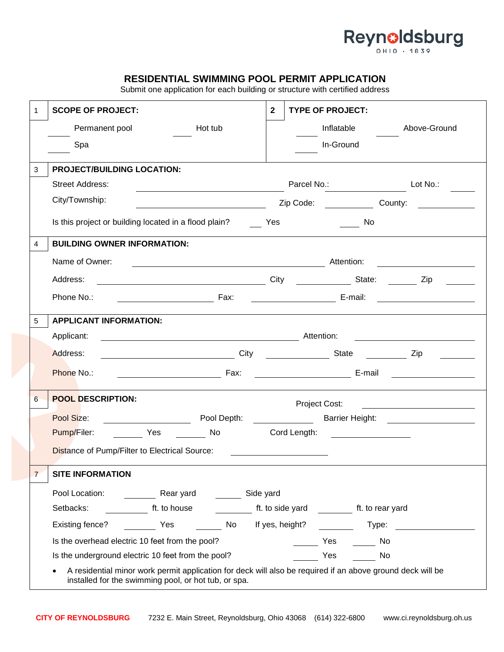

## **RESIDENTIAL SWIMMING POOL PERMIT APPLICATION**

Submit one application for each building or structure with certified address

| 1 | <b>SCOPE OF PROJECT:</b>                                                                                                                                         | $\mathbf{2}$ | <b>TYPE OF PROJECT:</b>                                                                                                                                                                                                            |  |  |  |  |  |
|---|------------------------------------------------------------------------------------------------------------------------------------------------------------------|--------------|------------------------------------------------------------------------------------------------------------------------------------------------------------------------------------------------------------------------------------|--|--|--|--|--|
|   | Permanent pool<br>Hot tub                                                                                                                                        |              | Inflatable<br>Above-Ground                                                                                                                                                                                                         |  |  |  |  |  |
|   | Spa                                                                                                                                                              |              | In-Ground                                                                                                                                                                                                                          |  |  |  |  |  |
| 3 | <b>PROJECT/BUILDING LOCATION:</b>                                                                                                                                |              |                                                                                                                                                                                                                                    |  |  |  |  |  |
|   | <b>Street Address:</b>                                                                                                                                           |              | Parcel No.: Lot No.:                                                                                                                                                                                                               |  |  |  |  |  |
|   | City/Township:                                                                                                                                                   |              | <b>Example 2</b> Section 2 Section 2 Section 2 Section 2 Section 2 Section 2 Section 2 Section 2 Section 2 Section 2 Section 2 Section 2 Section 2 Section 2 Section 2 Section 2 Section 2 Section 2 Section 2 Section 2 Section 2 |  |  |  |  |  |
|   | Is this project or building located in a flood plain?                                                                                                            | Yes          | <b>No.</b>                                                                                                                                                                                                                         |  |  |  |  |  |
| 4 | <b>BUILDING OWNER INFORMATION:</b>                                                                                                                               |              |                                                                                                                                                                                                                                    |  |  |  |  |  |
|   | Name of Owner:                                                                                                                                                   |              |                                                                                                                                                                                                                                    |  |  |  |  |  |
|   | Address:                                                                                                                                                         |              | City City State: Zip                                                                                                                                                                                                               |  |  |  |  |  |
|   | Phone No.:                                                                                                                                                       |              |                                                                                                                                                                                                                                    |  |  |  |  |  |
| 5 | <b>APPLICANT INFORMATION:</b>                                                                                                                                    |              |                                                                                                                                                                                                                                    |  |  |  |  |  |
|   | Applicant:                                                                                                                                                       |              |                                                                                                                                                                                                                                    |  |  |  |  |  |
|   | City City State City State City State City<br>Address:                                                                                                           |              |                                                                                                                                                                                                                                    |  |  |  |  |  |
|   |                                                                                                                                                                  |              |                                                                                                                                                                                                                                    |  |  |  |  |  |
|   | Phone No.:                                                                                                                                                       |              |                                                                                                                                                                                                                                    |  |  |  |  |  |
|   |                                                                                                                                                                  |              |                                                                                                                                                                                                                                    |  |  |  |  |  |
| 6 | <b>POOL DESCRIPTION:</b>                                                                                                                                         |              | Project Cost:<br><u> 1989 - Andrea Station Barbara, amerikan per</u>                                                                                                                                                               |  |  |  |  |  |
|   | Pool Size:                                                                                                                                                       |              |                                                                                                                                                                                                                                    |  |  |  |  |  |
|   | Pump/Filer: Yes No                                                                                                                                               |              | Cord Length: <b>Cord Length:</b>                                                                                                                                                                                                   |  |  |  |  |  |
|   | Distance of Pump/Filter to Electrical Source:                                                                                                                    |              |                                                                                                                                                                                                                                    |  |  |  |  |  |
| 7 | <b>SITE INFORMATION</b>                                                                                                                                          |              |                                                                                                                                                                                                                                    |  |  |  |  |  |
|   | Rear yard Side yard<br>Pool Location:                                                                                                                            |              |                                                                                                                                                                                                                                    |  |  |  |  |  |
|   | tt. to house<br>Setbacks:                                                                                                                                        |              | ft. to side yard ft. to rear yard                                                                                                                                                                                                  |  |  |  |  |  |
|   | No If yes, height?<br>Existing fence? The Yes                                                                                                                    |              | Type:                                                                                                                                                                                                                              |  |  |  |  |  |
|   | Is the overhead electric 10 feet from the pool?                                                                                                                  |              | Yes<br>No                                                                                                                                                                                                                          |  |  |  |  |  |
|   | Is the underground electric 10 feet from the pool?<br>A residential minor work permit application for deck will also be required if an above ground deck will be |              | Yes<br>No                                                                                                                                                                                                                          |  |  |  |  |  |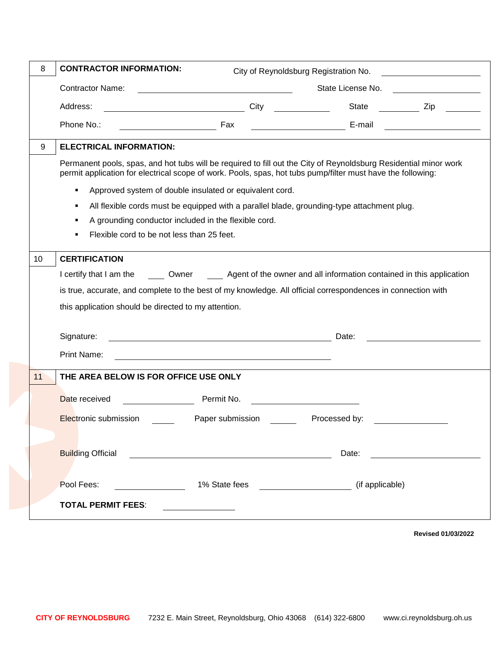| 8  | <b>CONTRACTOR INFORMATION:</b>                                                                                                                                                                                                  | City of Reynoldsburg Registration No.                                                                                |                   |  |  |  |  |  |
|----|---------------------------------------------------------------------------------------------------------------------------------------------------------------------------------------------------------------------------------|----------------------------------------------------------------------------------------------------------------------|-------------------|--|--|--|--|--|
|    | <b>Contractor Name:</b>                                                                                                                                                                                                         |                                                                                                                      | State License No. |  |  |  |  |  |
|    | Address:<br><u>City City</u>                                                                                                                                                                                                    |                                                                                                                      |                   |  |  |  |  |  |
|    | Phone No.:                                                                                                                                                                                                                      |                                                                                                                      |                   |  |  |  |  |  |
| 9  | <b>ELECTRICAL INFORMATION:</b>                                                                                                                                                                                                  |                                                                                                                      |                   |  |  |  |  |  |
|    | Permanent pools, spas, and hot tubs will be required to fill out the City of Reynoldsburg Residential minor work<br>permit application for electrical scope of work. Pools, spas, hot tubs pump/filter must have the following: |                                                                                                                      |                   |  |  |  |  |  |
|    | Approved system of double insulated or equivalent cord.<br>٠                                                                                                                                                                    |                                                                                                                      |                   |  |  |  |  |  |
|    | All flexible cords must be equipped with a parallel blade, grounding-type attachment plug.<br>٠                                                                                                                                 |                                                                                                                      |                   |  |  |  |  |  |
|    | A grounding conductor included in the flexible cord.<br>п                                                                                                                                                                       |                                                                                                                      |                   |  |  |  |  |  |
|    | Flexible cord to be not less than 25 feet.                                                                                                                                                                                      |                                                                                                                      |                   |  |  |  |  |  |
| 10 | <b>CERTIFICATION</b>                                                                                                                                                                                                            |                                                                                                                      |                   |  |  |  |  |  |
|    | I certify that I am the Cwner Agent of the owner and all information contained in this application                                                                                                                              |                                                                                                                      |                   |  |  |  |  |  |
|    | is true, accurate, and complete to the best of my knowledge. All official correspondences in connection with                                                                                                                    |                                                                                                                      |                   |  |  |  |  |  |
|    | this application should be directed to my attention.                                                                                                                                                                            |                                                                                                                      |                   |  |  |  |  |  |
|    |                                                                                                                                                                                                                                 |                                                                                                                      |                   |  |  |  |  |  |
|    | Signature:<br><u> 1989 - Johann Stoff, deutscher Stoffen und der Stoffen und der Stoffen und der Stoffen und der Stoffen und der</u>                                                                                            |                                                                                                                      | Date:             |  |  |  |  |  |
|    | Print Name:                                                                                                                                                                                                                     | <u> 1989 - Johann John Stone, markin film yn y brening yn y brening yn y brening yn y brening y brening yn y bre</u> |                   |  |  |  |  |  |
| 11 | THE AREA BELOW IS FOR OFFICE USE ONLY                                                                                                                                                                                           |                                                                                                                      |                   |  |  |  |  |  |
|    | Date received                                                                                                                                                                                                                   | Permit No.                                                                                                           |                   |  |  |  |  |  |
|    | Electronic submission                                                                                                                                                                                                           | Paper submission                                                                                                     | Processed by:     |  |  |  |  |  |
|    |                                                                                                                                                                                                                                 |                                                                                                                      |                   |  |  |  |  |  |
|    | <b>Building Official</b>                                                                                                                                                                                                        |                                                                                                                      | Date:             |  |  |  |  |  |
|    |                                                                                                                                                                                                                                 |                                                                                                                      |                   |  |  |  |  |  |
|    | Pool Fees:                                                                                                                                                                                                                      | 1% State fees                                                                                                        | (if applicable)   |  |  |  |  |  |
|    | <b>TOTAL PERMIT FEES:</b>                                                                                                                                                                                                       |                                                                                                                      |                   |  |  |  |  |  |
|    |                                                                                                                                                                                                                                 |                                                                                                                      |                   |  |  |  |  |  |

**Revised 01/03/2022**